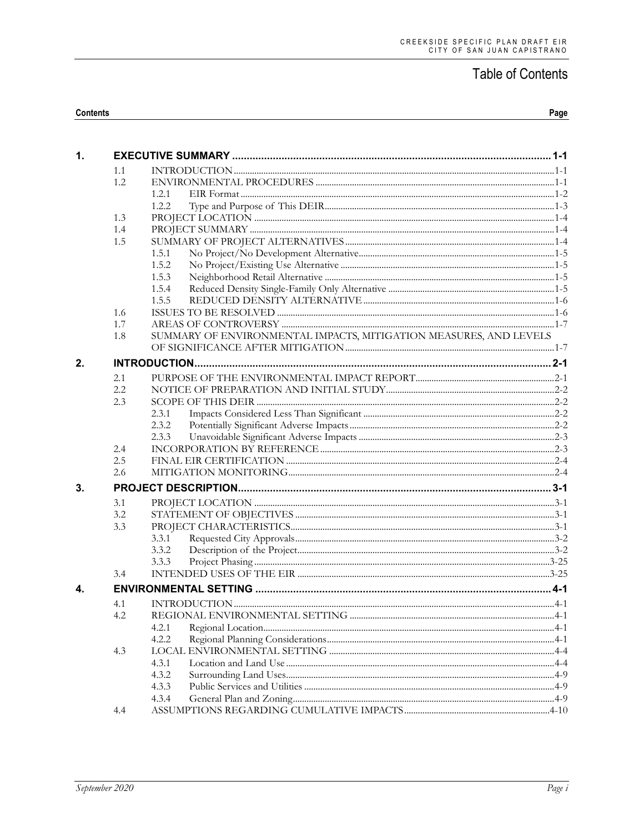#### Contents

| $\mathbf{1}$ . |     |                                                                   |  |
|----------------|-----|-------------------------------------------------------------------|--|
|                | 1.1 |                                                                   |  |
|                | 1.2 |                                                                   |  |
|                |     | 1.2.1                                                             |  |
|                |     | 1.2.2                                                             |  |
|                | 1.3 |                                                                   |  |
|                | 1.4 |                                                                   |  |
|                | 1.5 |                                                                   |  |
|                |     | 1.5.1                                                             |  |
|                |     | 1.5.2                                                             |  |
|                |     | 1.5.3                                                             |  |
|                |     | 1.5.4                                                             |  |
|                |     | 1.5.5                                                             |  |
|                | 1.6 |                                                                   |  |
|                | 1.7 |                                                                   |  |
|                | 1.8 | SUMMARY OF ENVIRONMENTAL IMPACTS, MITIGATION MEASURES, AND LEVELS |  |
|                |     |                                                                   |  |
| 2.             |     |                                                                   |  |
|                | 2.1 |                                                                   |  |
|                | 2.2 |                                                                   |  |
|                | 2.3 |                                                                   |  |
|                |     | 2.3.1                                                             |  |
|                |     | 2.3.2                                                             |  |
|                |     | 2.3.3                                                             |  |
|                | 2.4 |                                                                   |  |
|                | 2.5 |                                                                   |  |
|                | 2.6 |                                                                   |  |
| 3.             |     |                                                                   |  |
|                | 3.1 |                                                                   |  |
|                | 3.2 |                                                                   |  |
|                | 3.3 |                                                                   |  |
|                |     | 3.3.1                                                             |  |
|                |     | 3.3.2                                                             |  |
|                |     | 3.3.3                                                             |  |
|                | 3.4 |                                                                   |  |
| 4.             |     |                                                                   |  |
|                | 4.1 |                                                                   |  |
|                | 4.2 |                                                                   |  |
|                |     | 4.2.1                                                             |  |
|                |     | 4.2.2                                                             |  |
|                | 4.3 |                                                                   |  |
|                |     | 4.3.1                                                             |  |
|                |     | 4.3.2                                                             |  |
|                |     | 4.3.3                                                             |  |
|                |     | 4.3.4                                                             |  |
|                | 4.4 |                                                                   |  |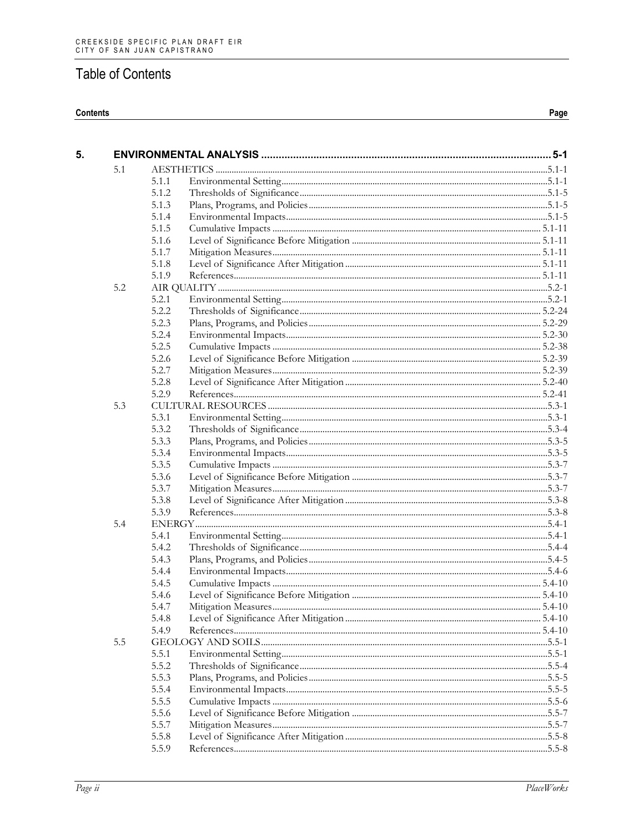#### **Contents**

| 5. |     |       |  |
|----|-----|-------|--|
|    | 5.1 |       |  |
|    |     | 5.1.1 |  |
|    |     | 5.1.2 |  |
|    |     | 5.1.3 |  |
|    |     | 5.1.4 |  |
|    |     | 5.1.5 |  |
|    |     | 5.1.6 |  |
|    |     | 5.1.7 |  |
|    |     | 5.1.8 |  |
|    |     | 5.1.9 |  |
|    | 5.2 |       |  |
|    |     | 5.2.1 |  |
|    |     | 5.2.2 |  |
|    |     | 5.2.3 |  |
|    |     | 5.2.4 |  |
|    |     | 5.2.5 |  |
|    |     | 5.2.6 |  |
|    |     | 5.2.7 |  |
|    |     | 5.2.8 |  |
|    |     | 5.2.9 |  |
|    | 5.3 |       |  |
|    |     | 5.3.1 |  |
|    |     | 5.3.2 |  |
|    |     | 5.3.3 |  |
|    |     | 5.3.4 |  |
|    |     | 5.3.5 |  |
|    |     | 5.3.6 |  |
|    |     | 5.3.7 |  |
|    |     | 5.3.8 |  |
|    |     | 5.3.9 |  |
|    | 5.4 |       |  |
|    |     | 5.4.1 |  |
|    |     | 5.4.2 |  |
|    |     | 5.4.3 |  |
|    |     | 5.4.4 |  |
|    |     | 5.4.5 |  |
|    |     | 5.4.6 |  |
|    |     | 5.4.7 |  |
|    |     | 5.4.8 |  |
|    |     | 5.4.9 |  |
|    | 5.5 |       |  |
|    |     | 5.5.1 |  |
|    |     | 5.5.2 |  |
|    |     | 5.5.3 |  |
|    |     | 5.5.4 |  |
|    |     | 5.5.5 |  |
|    |     | 5.5.6 |  |
|    |     | 5.5.7 |  |
|    |     | 5.5.8 |  |
|    |     | 5.5.9 |  |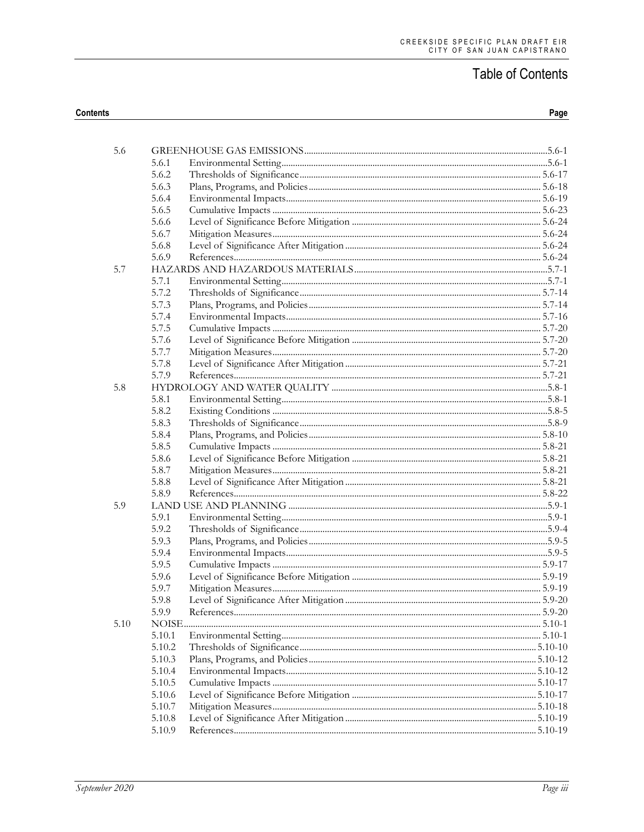| 5.6  |        |            |  |
|------|--------|------------|--|
|      | 5.6.1  |            |  |
|      | 5.6.2  |            |  |
|      | 5.6.3  |            |  |
|      | 5.6.4  |            |  |
|      | 5.6.5  |            |  |
|      | 5.6.6  |            |  |
|      | 5.6.7  |            |  |
|      | 5.6.8  |            |  |
|      | 5.6.9  |            |  |
| 5.7  |        |            |  |
|      | 5.7.1  |            |  |
|      | 5.7.2  |            |  |
|      | 5.7.3  |            |  |
|      | 5.7.4  |            |  |
|      | 5.7.5  |            |  |
|      | 5.7.6  |            |  |
|      | 5.7.7  |            |  |
|      | 5.7.8  |            |  |
|      | 5.7.9  |            |  |
| 5.8  |        |            |  |
|      | 5.8.1  |            |  |
|      | 5.8.2  |            |  |
|      | 5.8.3  |            |  |
|      | 5.8.4  |            |  |
|      | 5.8.5  |            |  |
|      | 5.8.6  |            |  |
|      | 5.8.7  |            |  |
|      | 5.8.8  |            |  |
|      | 5.8.9  |            |  |
| 5.9  |        |            |  |
|      | 5.9.1  |            |  |
|      | 5.9.2  |            |  |
|      | 5.9.3  |            |  |
|      | 5.9.4  |            |  |
|      | 5.9.5  |            |  |
|      | 5.9.6  |            |  |
|      | 5.9.7  |            |  |
|      | 5.9.8  |            |  |
|      | 5.9.9  | References |  |
| 5.10 |        |            |  |
|      | 5.10.1 |            |  |
|      | 5.10.2 |            |  |
|      | 5.10.3 |            |  |
|      | 5.10.4 |            |  |
|      | 5.10.5 |            |  |
|      | 5.10.6 |            |  |
|      | 5.10.7 |            |  |
|      | 5.10.8 |            |  |
|      | 5.10.9 |            |  |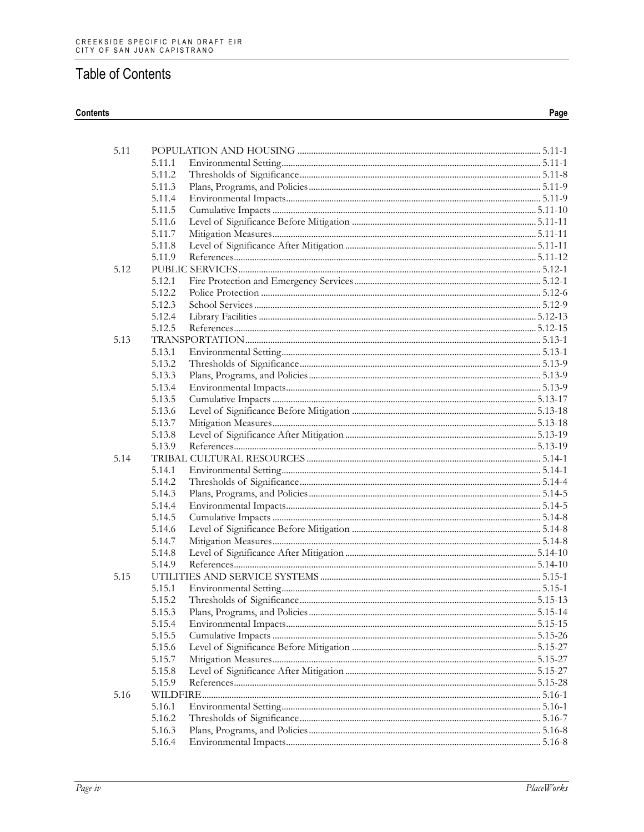#### Contents

| 5.11 |                  |  |
|------|------------------|--|
|      | 5.11.1           |  |
|      | 5.11.2           |  |
|      | 5.11.3           |  |
|      | 5.11.4           |  |
|      | 5.11.5           |  |
|      | 5.11.6           |  |
|      | 5.11.7           |  |
|      | 5.11.8           |  |
|      | 5.11.9           |  |
| 5.12 |                  |  |
|      | 5.12.1           |  |
|      | 5.12.2           |  |
|      | 5.12.3           |  |
|      | 5.12.4           |  |
|      | 5.12.5           |  |
| 5.13 |                  |  |
|      | 5.13.1           |  |
|      | 5.13.2           |  |
|      | 5.13.3           |  |
|      | 5.13.4           |  |
|      | 5.13.5           |  |
|      | 5.13.6           |  |
|      | 5.13.7           |  |
|      | 5.13.8           |  |
|      | 5.13.9           |  |
| 5.14 |                  |  |
|      | 5.14.1           |  |
|      | 5.14.2           |  |
|      | 5.14.3           |  |
|      | 5.14.4           |  |
|      | 5.14.5           |  |
|      | 5.14.6           |  |
|      | 5.14.7           |  |
|      | 5.14.8<br>5.14.9 |  |
| 5.15 |                  |  |
|      | 5.15.1           |  |
|      | 5.15.2           |  |
|      | 5.15.3           |  |
|      | 5.15.4           |  |
|      | 5.15.5           |  |
|      | 5.15.6           |  |
|      | 5.15.7           |  |
|      | 5.15.8           |  |
|      | 5.15.9           |  |
| 5.16 |                  |  |
|      | 5.16.1           |  |
|      | 5.16.2           |  |
|      | 5.16.3           |  |
|      | 5.16.4           |  |
|      |                  |  |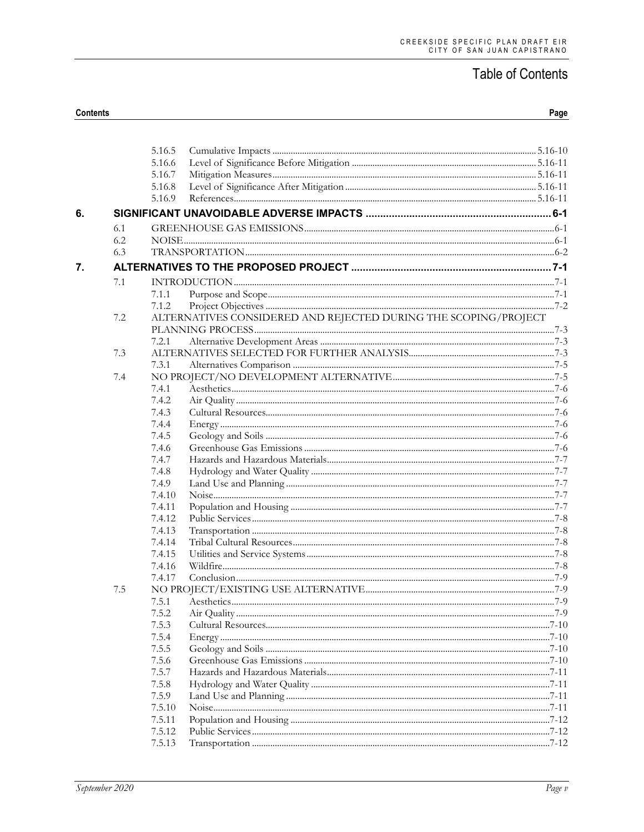|    |     | 5.16.5 |                                                                 |  |
|----|-----|--------|-----------------------------------------------------------------|--|
|    |     | 5.16.6 |                                                                 |  |
|    |     | 5.16.7 |                                                                 |  |
|    |     | 5.16.8 |                                                                 |  |
|    |     | 5.16.9 |                                                                 |  |
| 6. |     |        |                                                                 |  |
|    | 6.1 |        |                                                                 |  |
|    | 6.2 |        |                                                                 |  |
|    | 6.3 |        |                                                                 |  |
| 7. |     |        |                                                                 |  |
|    | 7.1 |        |                                                                 |  |
|    |     | 7.1.1  |                                                                 |  |
|    |     | 7.1.2  |                                                                 |  |
|    | 7.2 |        | ALTERNATIVES CONSIDERED AND REJECTED DURING THE SCOPING/PROJECT |  |
|    |     |        |                                                                 |  |
|    |     | 7.2.1  |                                                                 |  |
|    | 7.3 |        |                                                                 |  |
|    |     | 7.3.1  |                                                                 |  |
|    | 7.4 |        |                                                                 |  |
|    |     | 7.4.1  |                                                                 |  |
|    |     | 7.4.2  |                                                                 |  |
|    |     | 7.4.3  |                                                                 |  |
|    |     | 7.4.4  |                                                                 |  |
|    |     | 7.4.5  |                                                                 |  |
|    |     | 7.4.6  |                                                                 |  |
|    |     | 7.4.7  |                                                                 |  |
|    |     | 7.4.8  |                                                                 |  |
|    |     | 7.4.9  |                                                                 |  |
|    |     | 7.4.10 |                                                                 |  |
|    |     | 7.4.11 |                                                                 |  |
|    |     | 7.4.12 |                                                                 |  |
|    |     | 7.4.13 |                                                                 |  |
|    |     | 7.4.14 |                                                                 |  |
|    |     | 7.4.15 |                                                                 |  |
|    |     | 7.4.16 |                                                                 |  |
|    |     | 7.4.17 |                                                                 |  |
|    | 7.5 |        |                                                                 |  |
|    |     | 7.5.1  |                                                                 |  |
|    |     | 7.5.2  |                                                                 |  |
|    |     | 7.5.3  |                                                                 |  |
|    |     | 7.5.4  |                                                                 |  |
|    |     | 7.5.5  |                                                                 |  |
|    |     | 7.5.6  |                                                                 |  |
|    |     | 7.5.7  |                                                                 |  |
|    |     | 7.5.8  |                                                                 |  |
|    |     | 7.5.9  |                                                                 |  |
|    |     | 7.5.10 |                                                                 |  |
|    |     | 7.5.11 |                                                                 |  |
|    |     | 7.5.12 |                                                                 |  |
|    |     | 7.5.13 |                                                                 |  |
|    |     |        |                                                                 |  |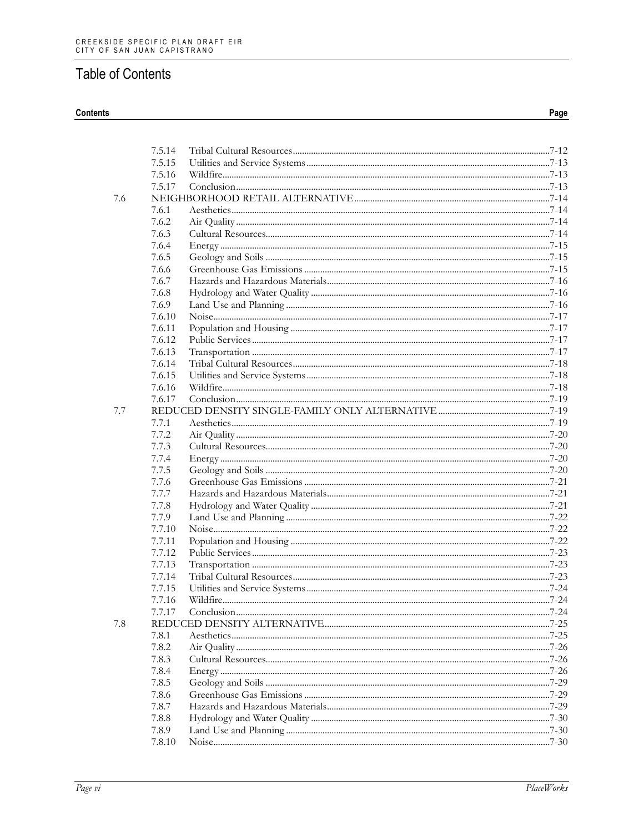#### Contents

|     | 7.5.14 |           |
|-----|--------|-----------|
|     | 7.5.15 |           |
|     | 7.5.16 |           |
|     | 7.5.17 |           |
| 7.6 |        |           |
|     | 7.6.1  |           |
|     | 7.6.2  |           |
|     | 7.6.3  |           |
|     | 7.6.4  |           |
|     | 7.6.5  |           |
|     | 7.6.6  |           |
|     | 7.6.7  |           |
|     | 7.6.8  |           |
|     | 7.6.9  |           |
|     | 7.6.10 |           |
|     | 7.6.11 |           |
|     | 7.6.12 |           |
|     | 7.6.13 |           |
|     | 7.6.14 |           |
|     | 7.6.15 |           |
|     | 7.6.16 |           |
|     | 7.6.17 |           |
| 7.7 |        |           |
|     | 7.7.1  |           |
|     | 7.7.2  |           |
|     | 7.7.3  |           |
|     | 7.7.4  |           |
|     | 7.7.5  |           |
|     | 7.7.6  |           |
|     | 7.7.7  |           |
|     | 7.7.8  |           |
|     | 7.7.9  |           |
|     | 7.7.10 |           |
|     | 7.7.11 |           |
|     | 7.7.12 |           |
|     | 7.7.13 |           |
|     | 7.7.14 |           |
|     | 7.7.15 |           |
|     |        |           |
|     | 7.7.16 | $.7 - 24$ |
|     |        |           |
| 7.8 | 7.8.1  |           |
|     | 7.8.2  |           |
|     |        |           |
|     | 7.8.3  |           |
|     | 7.8.4  |           |
|     | 7.8.5  |           |
|     | 7.8.6  |           |
|     | 7.8.7  |           |
|     | 7.8.8  |           |
|     | 7.8.9  |           |
|     | 7.8.10 |           |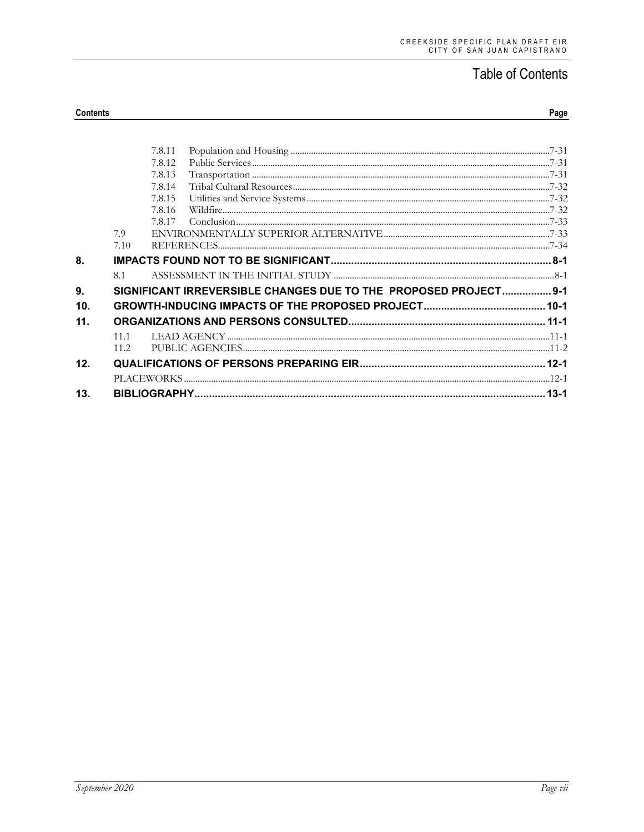|     |      | 7.8.11 |                                                                  |          |
|-----|------|--------|------------------------------------------------------------------|----------|
|     |      | 7.8.12 |                                                                  |          |
|     |      | 7.8.13 |                                                                  |          |
|     |      | 7.8.14 |                                                                  |          |
|     |      | 7.8.15 |                                                                  |          |
|     |      | 7.8.16 |                                                                  |          |
|     |      | 7.8.17 |                                                                  |          |
|     | 7.9  |        |                                                                  |          |
|     | 7.10 |        |                                                                  |          |
| 8.  |      |        |                                                                  |          |
|     | 8.1  |        |                                                                  |          |
| 9.  |      |        | SIGNIFICANT IRREVERSIBLE CHANGES DUE TO THE PROPOSED PROJECT 9-1 |          |
| 10. |      |        |                                                                  |          |
| 11. |      |        |                                                                  |          |
|     | 11.1 |        |                                                                  |          |
|     | 11.2 |        |                                                                  |          |
| 12. |      |        |                                                                  |          |
|     |      |        |                                                                  |          |
| 13. |      |        |                                                                  | $13 - 1$ |
|     |      |        |                                                                  |          |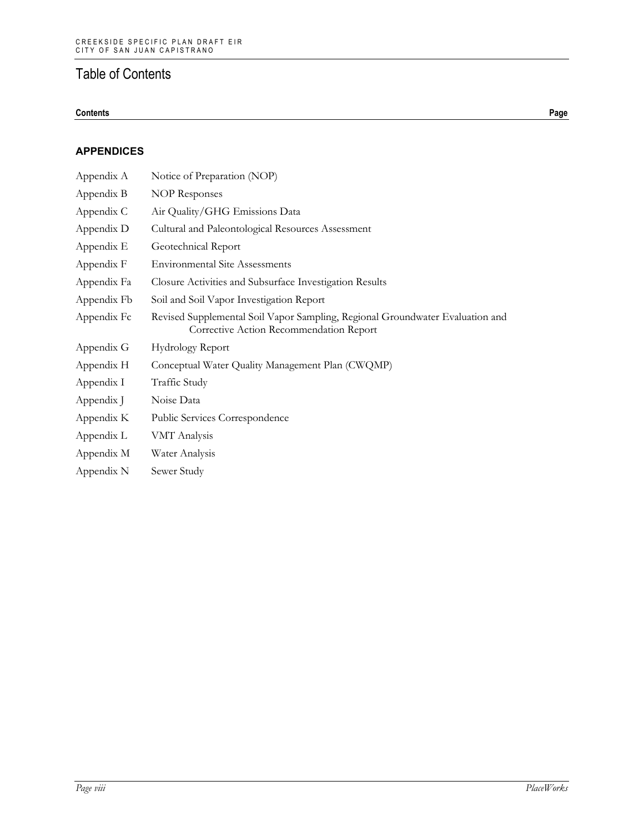#### **Contents Page**

#### **APPENDICES**

| Appendix A  | Notice of Preparation (NOP)                                                                                              |
|-------------|--------------------------------------------------------------------------------------------------------------------------|
| Appendix B  | <b>NOP Responses</b>                                                                                                     |
| Appendix C  | Air Quality/GHG Emissions Data                                                                                           |
| Appendix D  | Cultural and Paleontological Resources Assessment                                                                        |
| Appendix E  | Geotechnical Report                                                                                                      |
| Appendix F  | <b>Environmental Site Assessments</b>                                                                                    |
| Appendix Fa | Closure Activities and Subsurface Investigation Results                                                                  |
| Appendix Fb | Soil and Soil Vapor Investigation Report                                                                                 |
| Appendix Fc | Revised Supplemental Soil Vapor Sampling, Regional Groundwater Evaluation and<br>Corrective Action Recommendation Report |
| Appendix G  | Hydrology Report                                                                                                         |
| Appendix H  | Conceptual Water Quality Management Plan (CWQMP)                                                                         |
| Appendix I  | Traffic Study                                                                                                            |
| Appendix J  | Noise Data                                                                                                               |
| Appendix K  | Public Services Correspondence                                                                                           |
| Appendix L  | VMT Analysis                                                                                                             |
| Appendix M  | Water Analysis                                                                                                           |
| Appendix N  | Sewer Study                                                                                                              |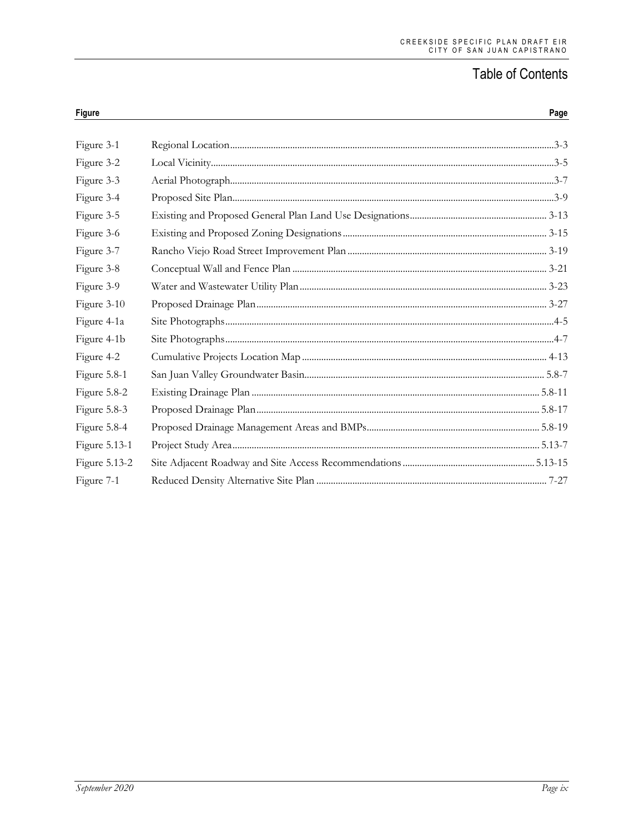| <b>Figure</b> | Page |
|---------------|------|
|               |      |
| Figure 3-1    |      |
| Figure 3-2    |      |
| Figure 3-3    |      |
| Figure 3-4    |      |
| Figure 3-5    |      |
| Figure 3-6    |      |
| Figure 3-7    |      |
| Figure 3-8    |      |
| Figure 3-9    |      |
| Figure 3-10   |      |
| Figure 4-1a   |      |
| Figure 4-1b   |      |
| Figure 4-2    |      |
| Figure 5.8-1  |      |
| Figure 5.8-2  |      |
| Figure 5.8-3  |      |
| Figure 5.8-4  |      |
| Figure 5.13-1 |      |
| Figure 5.13-2 |      |
| Figure 7-1    |      |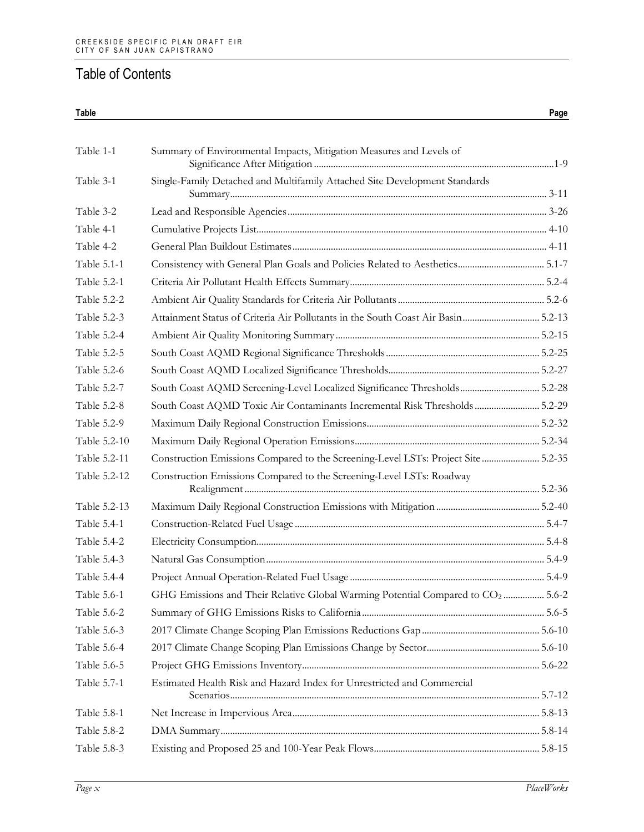### **Table Page** Table 1-1 Summary of Environmental Impacts, Mitigation Measures and Levels of Significance After Mitigation ....................................................................................................1-9 Table 3-1 Single-Family Detached and Multifamily Attached Site Development Standards Summary.................................................................................................................................... 3-11 Table 3-2 Lead and Responsible Agencies............................................................................................................ 3-26 Table 4-1 Cumulative Projects List......................................................................................................................... 4-10 Table 4-2 General Plan Buildout Estimates.......................................................................................................... 4-11 Table 5.1-1 Consistency with General Plan Goals and Policies Related to Aesthetics.................................... 5.1-7 Table 5.2-1 Criteria Air Pollutant Health Effects Summary................................................................................. 5.2-4 Table 5.2-2 Ambient Air Quality Standards for Criteria Air Pollutants............................................................. 5.2-6 Table 5.2-3 Attainment Status of Criteria Air Pollutants in the South Coast Air Basin................................ 5.2-13 Table 5.2-4 Ambient Air Quality Monitoring Summary ..................................................................................... 5.2-15 Table 5.2-5 South Coast AQMD Regional Significance Thresholds................................................................ 5.2-25 Table 5.2-6 South Coast AQMD Localized Significance Thresholds............................................................... 5.2-27 Table 5.2-7 South Coast AQMD Screening-Level Localized Significance Thresholds................................. 5.2-28 Table 5.2-8 South Coast AQMD Toxic Air Contaminants Incremental Risk Thresholds........................... 5.2-29 Table 5.2-9 Maximum Daily Regional Construction Emissions........................................................................ 5.2-32 Table 5.2-10 Maximum Daily Regional Operation Emissions............................................................................. 5.2-34 Table 5.2-11 Construction Emissions Compared to the Screening-Level LSTs: Project Site ........................ 5.2-35 Table 5.2-12 Construction Emissions Compared to the Screening-Level LSTs: Roadway Realignment........................................................................................................................... 5.2-36 Table 5.2-13 Maximum Daily Regional Construction Emissions with Mitigation ........................................... 5.2-40 Table 5.4-1 Construction-Related Fuel Usage ........................................................................................................ 5.4-7 Table 5.4-2 Electricity Consumption........................................................................................................................ 5.4-8 Table 5.4-3 Natural Gas Consumption.................................................................................................................... 5.4-9 Table 5.4-4 Project Annual Operation-Related Fuel Usage ................................................................................. 5.4-9 Table 5.6-1 GHG Emissions and Their Relative Global Warming Potential Compared to CO2 ................. 5.6-2 Table 5.6-2 Summary of GHG Emissions Risks to California............................................................................ 5.6-5 Table 5.6-3 2017 Climate Change Scoping Plan Emissions Reductions Gap................................................. 5.6-10 Table 5.6-4 2017 Climate Change Scoping Plan Emissions Change by Sector............................................... 5.6-10 Table 5.6-5 Project GHG Emissions Inventory................................................................................................... 5.6-22 Table 5.7-1 Estimated Health Risk and Hazard Index for Unrestricted and Commercial Scenarios................................................................................................................................. 5.7-12 Table 5.8-1 Net Increase in Impervious Area....................................................................................................... 5.8-13 Table 5.8-2 DMA Summary..................................................................................................................................... 5.8-14

Table 5.8-3 Existing and Proposed 25 and 100-Year Peak Flows..................................................................... 5.8-15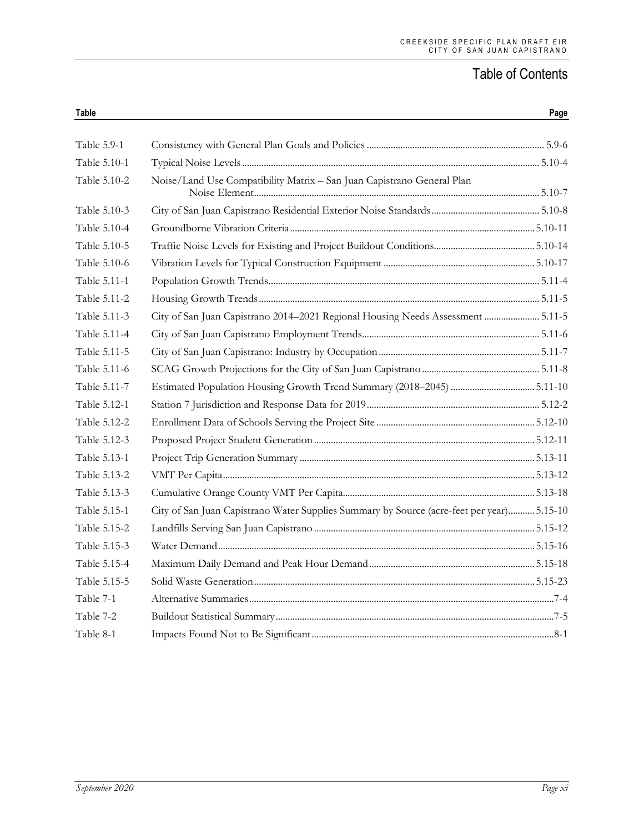| Table 5.9-1  |                                                                                           |  |
|--------------|-------------------------------------------------------------------------------------------|--|
| Table 5.10-1 |                                                                                           |  |
| Table 5.10-2 | Noise/Land Use Compatibility Matrix - San Juan Capistrano General Plan                    |  |
| Table 5.10-3 |                                                                                           |  |
| Table 5.10-4 |                                                                                           |  |
| Table 5.10-5 |                                                                                           |  |
| Table 5.10-6 |                                                                                           |  |
| Table 5.11-1 |                                                                                           |  |
| Table 5.11-2 |                                                                                           |  |
| Table 5.11-3 | City of San Juan Capistrano 2014-2021 Regional Housing Needs Assessment  5.11-5           |  |
| Table 5.11-4 |                                                                                           |  |
| Table 5.11-5 |                                                                                           |  |
| Table 5.11-6 |                                                                                           |  |
| Table 5.11-7 | Estimated Population Housing Growth Trend Summary (2018-2045) 5.11-10                     |  |
| Table 5.12-1 |                                                                                           |  |
| Table 5.12-2 |                                                                                           |  |
| Table 5.12-3 |                                                                                           |  |
| Table 5.13-1 |                                                                                           |  |
| Table 5.13-2 |                                                                                           |  |
| Table 5.13-3 |                                                                                           |  |
| Table 5.15-1 | City of San Juan Capistrano Water Supplies Summary by Source (acre-feet per year) 5.15-10 |  |
| Table 5.15-2 |                                                                                           |  |
| Table 5.15-3 |                                                                                           |  |
| Table 5.15-4 |                                                                                           |  |
| Table 5.15-5 |                                                                                           |  |
| Table 7-1    |                                                                                           |  |
| Table 7-2    |                                                                                           |  |
| Table 8-1    |                                                                                           |  |

**Table Page**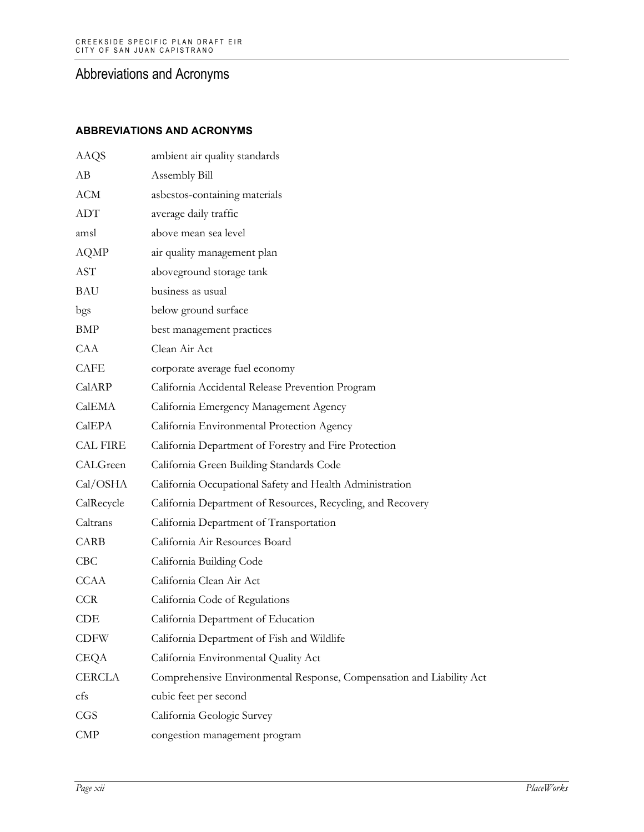#### **ABBREVIATIONS AND ACRONYMS**

| <b>AAQS</b>     | ambient air quality standards                                        |
|-----------------|----------------------------------------------------------------------|
| AB              | Assembly Bill                                                        |
| ACM             | asbestos-containing materials                                        |
| ADT             | average daily traffic                                                |
| amsl            | above mean sea level                                                 |
| <b>AQMP</b>     | air quality management plan                                          |
| <b>AST</b>      | aboveground storage tank                                             |
| BAU             | business as usual                                                    |
| bgs             | below ground surface                                                 |
| BMP             | best management practices                                            |
| CAA             | Clean Air Act                                                        |
| <b>CAFE</b>     | corporate average fuel economy                                       |
| CalARP          | California Accidental Release Prevention Program                     |
| CalEMA          | California Emergency Management Agency                               |
| CalEPA          | California Environmental Protection Agency                           |
| <b>CAL FIRE</b> | California Department of Forestry and Fire Protection                |
| CALGreen        | California Green Building Standards Code                             |
| Cal/OSHA        | California Occupational Safety and Health Administration             |
| CalRecycle      | California Department of Resources, Recycling, and Recovery          |
| Caltrans        | California Department of Transportation                              |
| CARB            | California Air Resources Board                                       |
| CBC             | California Building Code                                             |
| <b>CCAA</b>     | California Clean Air Act                                             |
| <b>CCR</b>      | California Code of Regulations                                       |
| CDE             | California Department of Education                                   |
| <b>CDFW</b>     | California Department of Fish and Wildlife                           |
| CEQA            | California Environmental Quality Act                                 |
| <b>CERCLA</b>   | Comprehensive Environmental Response, Compensation and Liability Act |
| cfs             | cubic feet per second                                                |
| <b>CGS</b>      | California Geologic Survey                                           |
| $\text{CMP}$    | congestion management program                                        |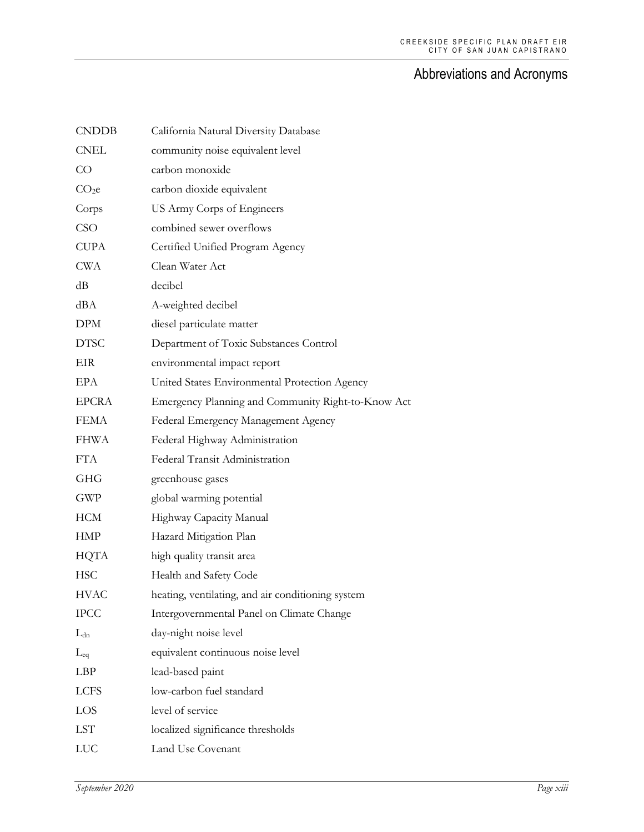| <b>CNDDB</b>      | California Natural Diversity Database              |
|-------------------|----------------------------------------------------|
| <b>CNEL</b>       | community noise equivalent level                   |
| CO                | carbon monoxide                                    |
| CO <sub>2</sub> e | carbon dioxide equivalent                          |
| Corps             | US Army Corps of Engineers                         |
| CSO               | combined sewer overflows                           |
| <b>CUPA</b>       | Certified Unified Program Agency                   |
| <b>CWA</b>        | Clean Water Act                                    |
| dB                | decibel                                            |
| dBA               | A-weighted decibel                                 |
| <b>DPM</b>        | diesel particulate matter                          |
| <b>DTSC</b>       | Department of Toxic Substances Control             |
| EIR               | environmental impact report                        |
| EPA               | United States Environmental Protection Agency      |
| <b>EPCRA</b>      | Emergency Planning and Community Right-to-Know Act |
| <b>FEMA</b>       | Federal Emergency Management Agency                |
| <b>FHWA</b>       | Federal Highway Administration                     |
| <b>FTA</b>        | Federal Transit Administration                     |
| <b>GHG</b>        | greenhouse gases                                   |
| <b>GWP</b>        | global warming potential                           |
| <b>HCM</b>        | Highway Capacity Manual                            |
| <b>HMP</b>        | Hazard Mitigation Plan                             |
| <b>HQTA</b>       | high quality transit area                          |
| <b>HSC</b>        | Health and Safety Code                             |
| <b>HVAC</b>       | heating, ventilating, and air conditioning system  |
| <b>IPCC</b>       | Intergovernmental Panel on Climate Change          |
| $L_{dn}$          | day-night noise level                              |
| $L_{eq}$          | equivalent continuous noise level                  |
| LBP               | lead-based paint                                   |
| <b>LCFS</b>       | low-carbon fuel standard                           |
| LOS               | level of service                                   |
| <b>LST</b>        | localized significance thresholds                  |
| <b>LUC</b>        | Land Use Covenant                                  |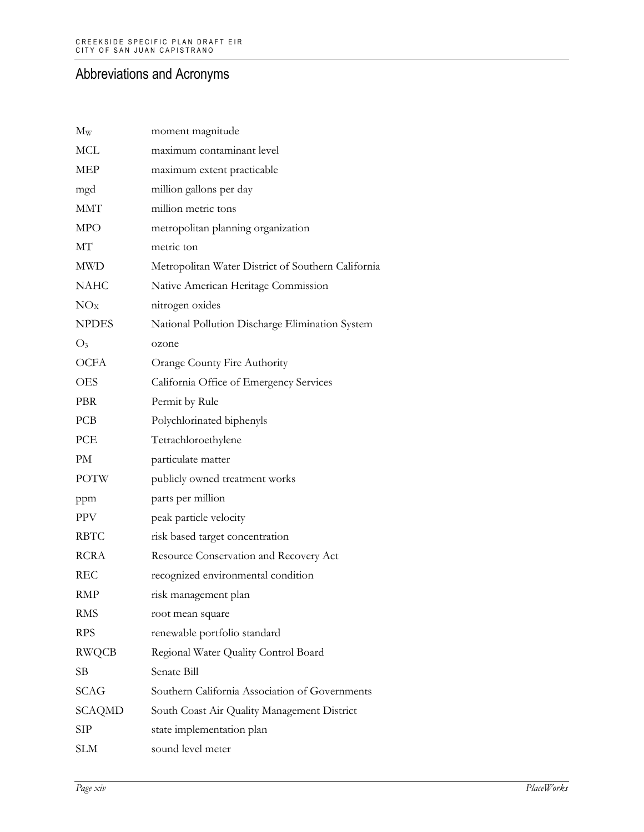| $M_{W}$         | moment magnitude                                   |
|-----------------|----------------------------------------------------|
| <b>MCL</b>      | maximum contaminant level                          |
| MEP             | maximum extent practicable                         |
| mgd             | million gallons per day                            |
| <b>MMT</b>      | million metric tons                                |
| <b>MPO</b>      | metropolitan planning organization                 |
| МT              | metric ton                                         |
| <b>MWD</b>      | Metropolitan Water District of Southern California |
| <b>NAHC</b>     | Native American Heritage Commission                |
| NO <sub>X</sub> | nitrogen oxides                                    |
| <b>NPDES</b>    | National Pollution Discharge Elimination System    |
| $O_3$           | ozone                                              |
| <b>OCFA</b>     | Orange County Fire Authority                       |
| <b>OES</b>      | California Office of Emergency Services            |
| <b>PBR</b>      | Permit by Rule                                     |
| PCB             | Polychlorinated biphenyls                          |
| PCE             | Tetrachloroethylene                                |
| PM              | particulate matter                                 |
| <b>POTW</b>     | publicly owned treatment works                     |
| ppm             | parts per million                                  |
| <b>PPV</b>      | peak particle velocity                             |
| <b>RBTC</b>     | risk based target concentration                    |
| <b>RCRA</b>     | Resource Conservation and Recovery Act             |
| REC             | recognized environmental condition                 |
| RMP             | risk management plan                               |
| RMS             | root mean square                                   |
| <b>RPS</b>      | renewable portfolio standard                       |
| <b>RWQCB</b>    | Regional Water Quality Control Board               |
| SВ              | Senate Bill                                        |
| <b>SCAG</b>     | Southern California Association of Governments     |
| SCAQMD          | South Coast Air Quality Management District        |
| SIP             | state implementation plan                          |
| <b>SLM</b>      | sound level meter                                  |
|                 |                                                    |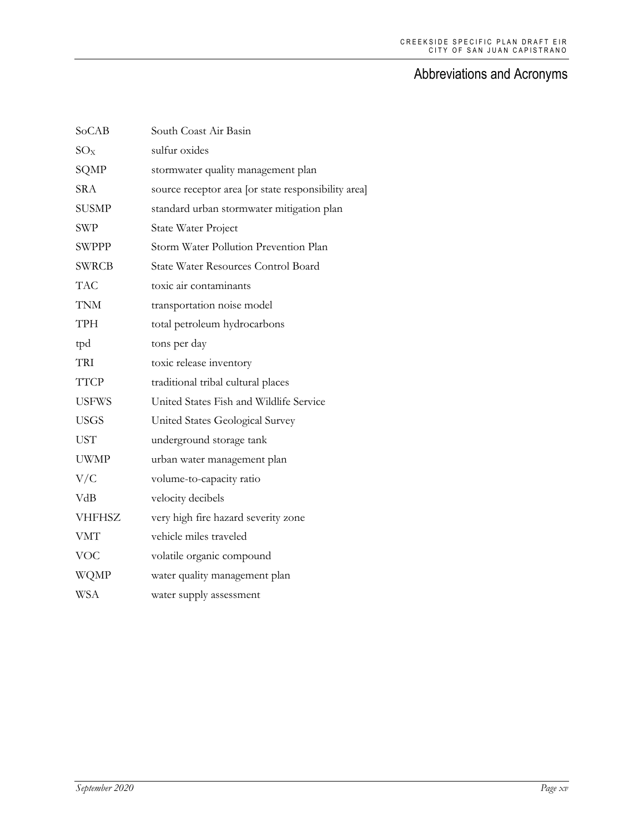| SoCAB         | South Coast Air Basin                               |
|---------------|-----------------------------------------------------|
| $SO_{X}$      | sulfur oxides                                       |
| SQMP          | stormwater quality management plan                  |
| <b>SRA</b>    | source receptor area [or state responsibility area] |
| <b>SUSMP</b>  | standard urban stormwater mitigation plan           |
| <b>SWP</b>    | <b>State Water Project</b>                          |
| <b>SWPPP</b>  | Storm Water Pollution Prevention Plan               |
| <b>SWRCB</b>  | State Water Resources Control Board                 |
| <b>TAC</b>    | toxic air contaminants                              |
| <b>TNM</b>    | transportation noise model                          |
| <b>TPH</b>    | total petroleum hydrocarbons                        |
| tpd           | tons per day                                        |
| <b>TRI</b>    | toxic release inventory                             |
| <b>TTCP</b>   | traditional tribal cultural places                  |
| <b>USFWS</b>  | United States Fish and Wildlife Service             |
| <b>USGS</b>   | United States Geological Survey                     |
| <b>UST</b>    | underground storage tank                            |
| <b>UWMP</b>   | urban water management plan                         |
| V/C           | volume-to-capacity ratio                            |
| VdB           | velocity decibels                                   |
| <b>VHFHSZ</b> | very high fire hazard severity zone                 |
| <b>VMT</b>    | vehicle miles traveled                              |
| <b>VOC</b>    | volatile organic compound                           |
| <b>WQMP</b>   | water quality management plan                       |
| <b>WSA</b>    | water supply assessment                             |